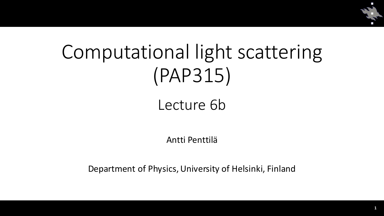

# Computational light scattering (PAP315)

## Lecture 6b

Antti Penttilä

Department of Physics, University of Helsinki, Finland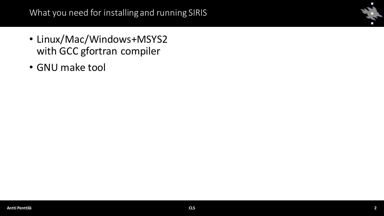- Linux/Mac/Windows+MSYS2 with GCC gfortran compiler
- GNU make tool

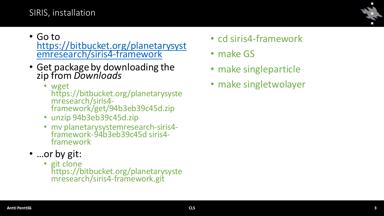## SIRIS, installation

- Go to [https://bitbucket.org/planetarysyst](https://bitbucket.org/planetarysystemresearch/siris4-framework) emresearch/siris4-framework
- Get package by downloading the zip from *Downloads*
	- wget https://bitbucket.org/planetarysyste mresearch/siris4 framework/get/94b3eb39c45d.zip
	- unzip 94b3eb39c45d.zip
	- mv planetarysystemresearch-siris4 framework-94b3eb39c45d siris4 framework
- …or by git:
	- git clone https://bitbucket.org/planetarysyste mresearch/siris4-framework.git
- cd siris4-framework
- make GS
- make singleparticle
- make singletwolayer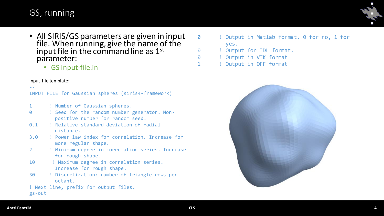## GS, running

- All SIRIS/GS parameters are given in input file. When running, give the name of the input file in the command line as  $1<sup>st</sup>$ parameter:
	- GS input-file.in

#### Input file template:

|                | INPUT FILE for Gaussian spheres (siris4-framework)                               |
|----------------|----------------------------------------------------------------------------------|
|                |                                                                                  |
| $\mathbf{1}$   | ! Number of Gaussian spheres.                                                    |
| 0              | ! Seed for the random number generator. Non-<br>positive number for random seed. |
|                | 0.1 : Relative standard deviation of radial<br>distance.                         |
| 3.0            | ! Power law index for correlation. Increase for<br>more regular shape.           |
| $\overline{2}$ | ! Minimum degree in correlation series. Increase<br>for rough shape.             |
| 10             | ! Maximum degree in correlation series.<br>Increase for rough shape.             |
| 30             | ! Discretization: number of triangle rows per<br>octant.                         |
| $gs$ -out      | ! Next line, prefix for output files.                                            |

- 0 ! Output in Matlab format. 0 for no, 1 for yes.
- 0 ! Output for IDL format.
- 0 ! Output in VTK format
- 1 : Output in OFF format

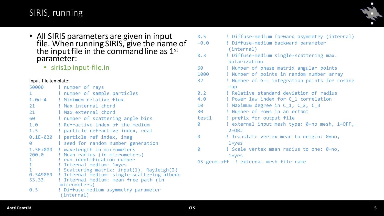## SIRIS, running



| • All SIRIS parameters are given in input<br>file. When running SIRIS, give the name of<br>the input file in the command line as $1st$<br>parameter:<br>• siris1p input-file.in |                                                                                           | 0.5<br>$-0.0$<br>0.3<br>60 | ! Diffuse-medium forward asymmetry (internal)<br>! Diffuse-medium backward parameter<br>(internal)<br>! Diffuse-medium single-scattering max.<br>polarization<br>! Number of phase matrix angular points |
|---------------------------------------------------------------------------------------------------------------------------------------------------------------------------------|-------------------------------------------------------------------------------------------|----------------------------|----------------------------------------------------------------------------------------------------------------------------------------------------------------------------------------------------------|
|                                                                                                                                                                                 |                                                                                           | 1000                       | ! Number of points in random number array                                                                                                                                                                |
| Input file template:                                                                                                                                                            |                                                                                           | 32 <sup>2</sup>            | ! Number of G-L integration points for cosine                                                                                                                                                            |
| 50000                                                                                                                                                                           | ! number of rays                                                                          |                            | map                                                                                                                                                                                                      |
|                                                                                                                                                                                 | ! number of sample particles                                                              | 0.2                        | ! Relative standard deviation of radius                                                                                                                                                                  |
| $1.0d - 4$                                                                                                                                                                      | ! Minimum relative flux                                                                   | 4.0                        | ! Power law index for C_1 correlation                                                                                                                                                                    |
| 21                                                                                                                                                                              | ! Max internal chord                                                                      | 10                         | ! Maximum degree in C_1, C_2, C_3                                                                                                                                                                        |
| 21                                                                                                                                                                              | ! Max external chord                                                                      | 30                         | ! Number of rows in an octant                                                                                                                                                                            |
| 60                                                                                                                                                                              | ! number of scattering angle bins                                                         | test1                      | ! prefix for output file                                                                                                                                                                                 |
| 1.0                                                                                                                                                                             | ! Refractive index of the medium                                                          | 0                          | ! external input mesh type: 0=no mesh, 1=OFF,                                                                                                                                                            |
| 1.5                                                                                                                                                                             | ! particle refractive index, real                                                         |                            | $2=OBJ$                                                                                                                                                                                                  |
|                                                                                                                                                                                 | 0.1E-020 ! particle ref index, imag                                                       | Ø                          | ! Translate vertex mean to origin: 0=no,                                                                                                                                                                 |
| 0                                                                                                                                                                               | ! seed for random number generation                                                       |                            | $1 = yes$                                                                                                                                                                                                |
| 1.5E+000                                                                                                                                                                        | ! wavelength in micrometers                                                               | 0                          | ! Scale vertex mean radius to one: 0=no,                                                                                                                                                                 |
| 200.0                                                                                                                                                                           | Mean radius (in micrometers)                                                              |                            | $1 = yes$                                                                                                                                                                                                |
|                                                                                                                                                                                 | ! run identification number                                                               |                            | GS-geom.off ! external mesh file name                                                                                                                                                                    |
|                                                                                                                                                                                 | ! Internal medium: 1=yes                                                                  |                            |                                                                                                                                                                                                          |
| 0.549069                                                                                                                                                                        | ! Scattering matrix: input(1), Rayleigh(2)<br>! Internal medium: single-scattering albedo |                            |                                                                                                                                                                                                          |
| 53.33                                                                                                                                                                           | ! Internal medium: mean free path (in                                                     |                            |                                                                                                                                                                                                          |
|                                                                                                                                                                                 | micrometers)                                                                              |                            |                                                                                                                                                                                                          |

0.5 ! Diffuse-medium asymmetry parameter (internal)